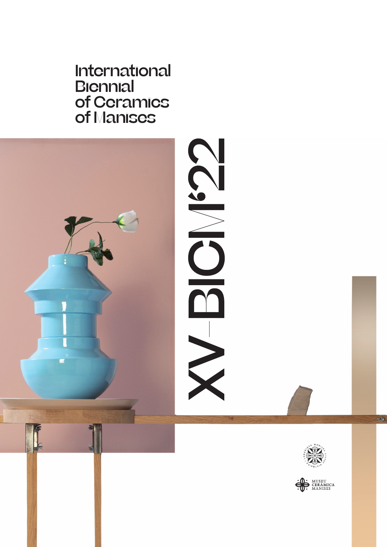International **Biennial** of Ceramics of Manises





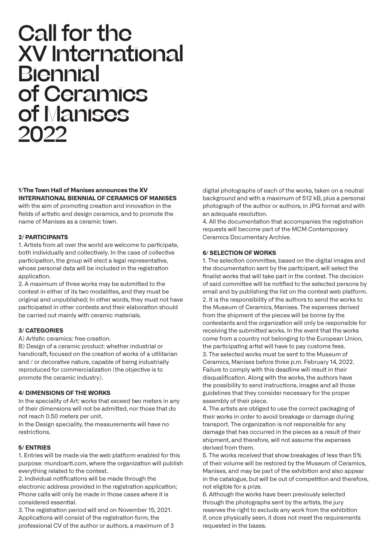# Call for the XV International Biennial of Ceramics of Manises 2022

# **1/The Town Hall of Manises announces the XV INTERNATIONAL BIENNIAL OF CERAMICS OF MANISES**

with the aim of promoting creation and innovation in the fields of artistic and design ceramics, and to promote the name of Manises as a ceramic town.

### **2/ PARTICIPANTS**

1. Artists from all over the world are welcome to participate, both individually and collectively. In the case of collective participation, the group will elect a legal representative, whose personal data will be included in the registration application.

2. A maximum of three works may be submitted to the contest in either of its two modalities, and they must be original and unpublished; In other words, they must not have participated in other contests and their elaboration should be carried out mainly with ceramic materials.

### **3/ CATEGORIES**

A) Artistic ceramics: free creation.

B) Design of a ceramic product: whether industrial or handicraft, focused on the creation of works of a utilitarian and / or decorative nature, capable of being industrially reproduced for commercialization (the objective is to promote the ceramic industry).

### **4/ DIMENSIONS OF THE WORKS**

In the speciality of Art: works that exceed two meters in any of their dimensions will not be admitted, nor those that do not reach 0.50 meters per unit.

In the Design speciality, the measurements will have no restrictions.

#### **5/ ENTRIES**

1. Entries will be made via the web platform enabled for this purpose: mundoarti.com, where the organization will publish everything related to the contest.

2. Individual notifications will be made through the electronic address provided in the registration application; Phone calls will only be made in those cases where it is considered essential.

3. The registration period will end on November 15, 2021. Applications will consist of the registration form, the professional CV of the author or authors, a maximum of 3 digital photographs of each of the works, taken on a neutral background and with a maximum of 512 kB, plus a personal photograph of the author or authors, in JPG format and with an adequate resolution.

4. All the documentation that accompanies the registration requests will become part of the MCM Contemporary Ceramics Documentary Archive.

#### **6/ SELECTION OF WORKS**

1. The selection committee, based on the digital images and the documentation sent by the participant, will select the finalist works that will take part in the contest. The decision of said committee will be notified to the selected persons by email and by publishing the list on the contest web platform. 2. It is the responsibility of the authors to send the works to the Museum of Ceramics, Manises. The expenses derived from the shipment of the pieces will be borne by the contestants and the organization will only be responsible for receiving the submitted works. In the event that the works come from a country not belonging to the European Union, the participating artist will have to pay customs fees. 3. The selected works must be sent to the Museum of Ceramics, Manises before three p.m. February 14, 2022. Failure to comply with this deadline will result in their disqualification. Along with the works, the authors have the possibility to send instructions, images and all those guidelines that they consider necessary for the proper assembly of their piece.

4. The artists are obliged to use the correct packaging of their works in order to avoid breakage or damage during transport. The organization is not responsible for any damage that has occurred in the pieces as a result of their shipment, and therefore, will not assume the expenses derived from them.

5. The works received that show breakages of less than 5% of their volume will be restored by the Museum of Ceramics, Manises, and may be part of the exhibition and also appear in the catalogue, but will be out of competition and therefore, not eligible for a prize.

6. Although the works have been previously selected through the photographs sent by the artists, the jury reserves the right to exclude any work from the exhibition if, once physically seen, it does not meet the requirements requested in the bases.